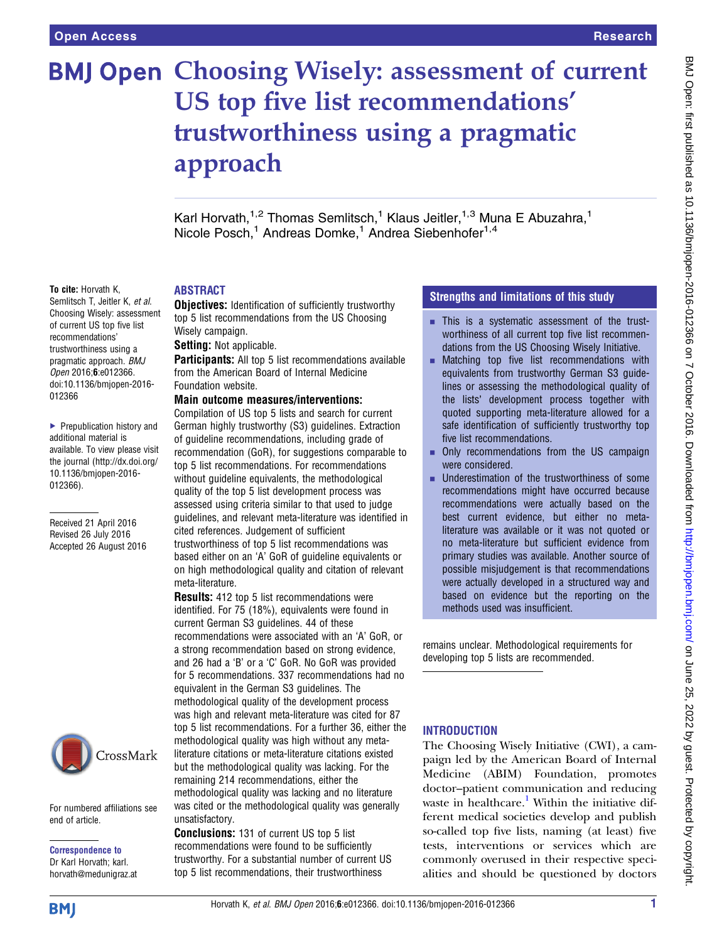# **BMJ Open Choosing Wisely: assessment of current** US top five list recommendations' trustworthiness using a pragmatic approach

Karl Horvath,<sup>1,2</sup> Thomas Semlitsch,<sup>1</sup> Klaus Jeitler,<sup>1,3</sup> Muna E Abuzahra,<sup>1</sup> Nicole Posch,<sup>1</sup> Andreas Domke,<sup>1</sup> Andrea Siebenhofer<sup>1,4</sup>

#### To cite: Horvath K,

Semlitsch T, Jeitler K, et al. Choosing Wisely: assessment of current US top five list recommendations' trustworthiness using a pragmatic approach. BMJ Open 2016;6:e012366. doi:10.1136/bmjopen-2016- 012366

▶ Prepublication history and additional material is available. To view please visit the journal [\(http://dx.doi.org/](http://dx.doi.org/10.1136/bmjopen-2016-012366) [10.1136/bmjopen-2016-](http://dx.doi.org/10.1136/bmjopen-2016-012366) [012366\)](http://dx.doi.org/10.1136/bmjopen-2016-012366).

Received 21 April 2016 Revised 26 July 2016 Accepted 26 August 2016



For numbered affiliations see end of article.

Correspondence to Dr Karl Horvath; karl. horvath@medunigraz.at

## **ARSTRACT**

**Objectives:** Identification of sufficiently trustworthy top 5 list recommendations from the US Choosing Wisely campaign.

Setting: Not applicable.

Participants: All top 5 list recommendations available from the American Board of Internal Medicine Foundation website.

#### Main outcome measures/interventions:

Compilation of US top 5 lists and search for current German highly trustworthy (S3) guidelines. Extraction of guideline recommendations, including grade of recommendation (GoR), for suggestions comparable to top 5 list recommendations. For recommendations without guideline equivalents, the methodological quality of the top 5 list development process was assessed using criteria similar to that used to judge guidelines, and relevant meta-literature was identified in cited references. Judgement of sufficient trustworthiness of top 5 list recommendations was based either on an 'A' GoR of guideline equivalents or on high methodological quality and citation of relevant meta-literature.

**Results:** 412 top 5 list recommendations were identified. For 75 (18%), equivalents were found in current German S3 guidelines. 44 of these recommendations were associated with an 'A' GoR, or a strong recommendation based on strong evidence, and 26 had a 'B' or a 'C' GoR. No GoR was provided for 5 recommendations. 337 recommendations had no equivalent in the German S3 guidelines. The methodological quality of the development process was high and relevant meta-literature was cited for 87 top 5 list recommendations. For a further 36, either the methodological quality was high without any metaliterature citations or meta-literature citations existed but the methodological quality was lacking. For the remaining 214 recommendations, either the methodological quality was lacking and no literature was cited or the methodological quality was generally unsatisfactory.

Conclusions: 131 of current US top 5 list recommendations were found to be sufficiently trustworthy. For a substantial number of current US top 5 list recommendations, their trustworthiness

## Strengths and limitations of this study

- **EXECUTE:** This is a systematic assessment of the trustworthiness of all current top five list recommendations from the US Choosing Wisely Initiative.
- $\blacksquare$  Matching top five list recommendations with equivalents from trustworthy German S3 guidelines or assessing the methodological quality of the lists' development process together with quoted supporting meta-literature allowed for a safe identification of sufficiently trustworthy top five list recommendations.
- **Only recommendations from the US campaign** were considered.
- Underestimation of the trustworthiness of some recommendations might have occurred because recommendations were actually based on the best current evidence, but either no metaliterature was available or it was not quoted or no meta-literature but sufficient evidence from primary studies was available. Another source of possible misjudgement is that recommendations were actually developed in a structured way and based on evidence but the reporting on the methods used was insufficient.

remains unclear. Methodological requirements for developing top 5 lists are recommended.

## **INTRODUCTION**

The Choosing Wisely Initiative (CWI), a campaign led by the American Board of Internal Medicine (ABIM) Foundation, promotes doctor–patient communication and reducing waste in healthcare.<sup>[1](#page-6-0)</sup> Within the initiative different medical societies develop and publish so-called top five lists, naming (at least) five tests, interventions or services which are commonly overused in their respective specialities and should be questioned by doctors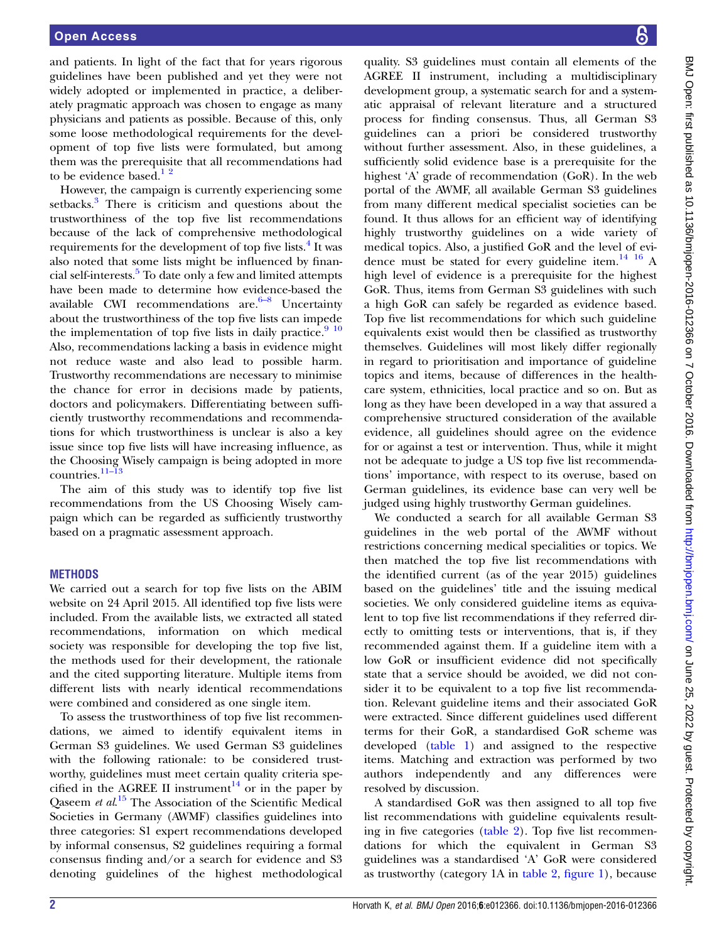and patients. In light of the fact that for years rigorous guidelines have been published and yet they were not widely adopted or implemented in practice, a deliberately pragmatic approach was chosen to engage as many physicians and patients as possible. Because of this, only some loose methodological requirements for the development of top five lists were formulated, but among them was the prerequisite that all recommendations had to be evidence based. $1^2$ 

However, the campaign is currently experiencing some setbacks.<sup>[3](#page-6-0)</sup> There is criticism and questions about the trustworthiness of the top five list recommendations because of the lack of comprehensive methodological requirements for the development of top five lists.<sup>[4](#page-6-0)</sup> It was also noted that some lists might be influenced by finan-cial self-interests.<sup>[5](#page-6-0)</sup> To date only a few and limited attempts have been made to determine how evidence-based the available CWI recommendations are. $6-8$  Uncertainty about the trustworthiness of the top five lists can impede the implementation of top five lists in daily practice. $9^{10}$ Also, recommendations lacking a basis in evidence might not reduce waste and also lead to possible harm. Trustworthy recommendations are necessary to minimise the chance for error in decisions made by patients, doctors and policymakers. Differentiating between sufficiently trustworthy recommendations and recommendations for which trustworthiness is unclear is also a key issue since top five lists will have increasing influence, as the Choosing Wisely campaign is being adopted in more countries.[11](#page-6-0)–<sup>13</sup>

The aim of this study was to identify top five list recommendations from the US Choosing Wisely campaign which can be regarded as sufficiently trustworthy based on a pragmatic assessment approach.

## **METHODS**

We carried out a search for top five lists on the ABIM website on 24 April 2015. All identified top five lists were included. From the available lists, we extracted all stated recommendations, information on which medical society was responsible for developing the top five list, the methods used for their development, the rationale and the cited supporting literature. Multiple items from different lists with nearly identical recommendations were combined and considered as one single item.

To assess the trustworthiness of top five list recommendations, we aimed to identify equivalent items in German S3 guidelines. We used German S3 guidelines with the following rationale: to be considered trustworthy, guidelines must meet certain quality criteria spe-cified in the AGREE II instrument<sup>[14](#page-6-0)</sup> or in the paper by Qaseem et al.<sup>[15](#page-6-0)</sup> The Association of the Scientific Medical Societies in Germany (AWMF) classifies guidelines into three categories: S1 expert recommendations developed by informal consensus, S2 guidelines requiring a formal consensus finding and/or a search for evidence and S3 denoting guidelines of the highest methodological

quality. S3 guidelines must contain all elements of the AGREE II instrument, including a multidisciplinary development group, a systematic search for and a systematic appraisal of relevant literature and a structured process for finding consensus. Thus, all German S3 guidelines can a priori be considered trustworthy without further assessment. Also, in these guidelines, a sufficiently solid evidence base is a prerequisite for the highest 'A' grade of recommendation (GoR). In the web portal of the AWMF, all available German S3 guidelines from many different medical specialist societies can be found. It thus allows for an efficient way of identifying highly trustworthy guidelines on a wide variety of medical topics. Also, a justified GoR and the level of evi-dence must be stated for every guideline item.<sup>[14 16](#page-6-0)</sup> A high level of evidence is a prerequisite for the highest GoR. Thus, items from German S3 guidelines with such a high GoR can safely be regarded as evidence based. Top five list recommendations for which such guideline equivalents exist would then be classified as trustworthy themselves. Guidelines will most likely differ regionally in regard to prioritisation and importance of guideline topics and items, because of differences in the healthcare system, ethnicities, local practice and so on. But as long as they have been developed in a way that assured a comprehensive structured consideration of the available evidence, all guidelines should agree on the evidence for or against a test or intervention. Thus, while it might not be adequate to judge a US top five list recommendations' importance, with respect to its overuse, based on German guidelines, its evidence base can very well be judged using highly trustworthy German guidelines.

We conducted a search for all available German S3 guidelines in the web portal of the AWMF without restrictions concerning medical specialities or topics. We then matched the top five list recommendations with the identified current (as of the year 2015) guidelines based on the guidelines' title and the issuing medical societies. We only considered guideline items as equivalent to top five list recommendations if they referred directly to omitting tests or interventions, that is, if they recommended against them. If a guideline item with a low GoR or insufficient evidence did not specifically state that a service should be avoided, we did not consider it to be equivalent to a top five list recommendation. Relevant guideline items and their associated GoR were extracted. Since different guidelines used different terms for their GoR, a standardised GoR scheme was developed ([table 1\)](#page-2-0) and assigned to the respective items. Matching and extraction was performed by two authors independently and any differences were resolved by discussion.

A standardised GoR was then assigned to all top five list recommendations with guideline equivalents resulting in five categories ([table 2\)](#page-2-0). Top five list recommendations for which the equivalent in German S3 guidelines was a standardised 'A' GoR were considered as trustworthy (category 1A in [table 2,](#page-2-0) fi[gure 1](#page-3-0)), because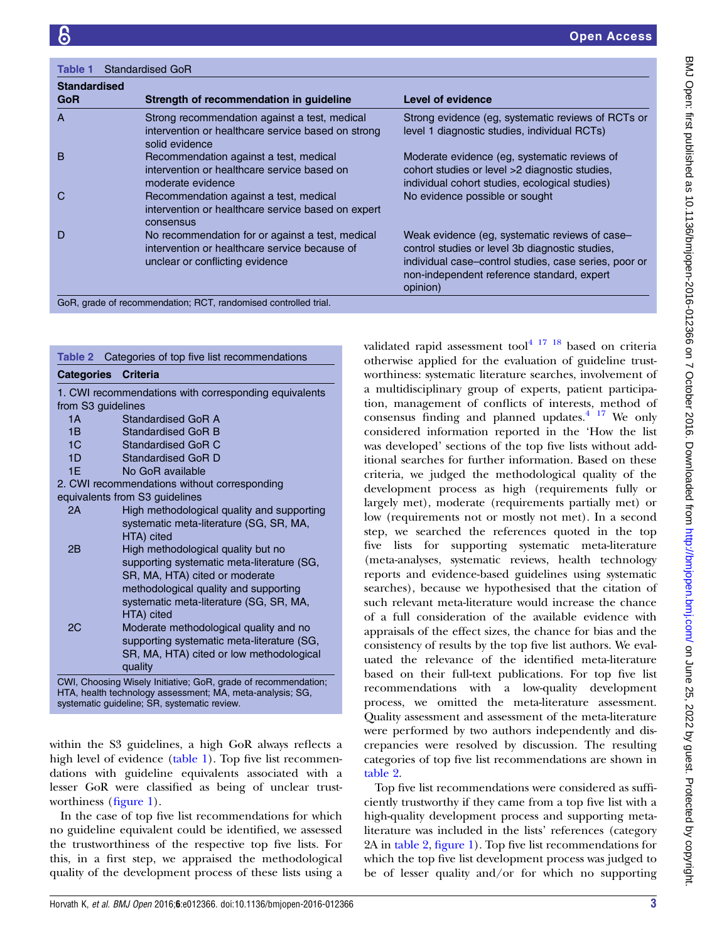<span id="page-2-0"></span>

| <b>Standardised</b> |                                                                                                                                      |                                                                                                                                                                                                                      |  |  |  |  |
|---------------------|--------------------------------------------------------------------------------------------------------------------------------------|----------------------------------------------------------------------------------------------------------------------------------------------------------------------------------------------------------------------|--|--|--|--|
| <b>GoR</b>          | Strength of recommendation in guideline                                                                                              | Level of evidence                                                                                                                                                                                                    |  |  |  |  |
| A                   | Strong recommendation against a test, medical<br>intervention or healthcare service based on strong<br>solid evidence                | Strong evidence (eg, systematic reviews of RCTs or<br>level 1 diagnostic studies, individual RCTs)                                                                                                                   |  |  |  |  |
| <sub>B</sub>        | Recommendation against a test, medical<br>intervention or healthcare service based on<br>moderate evidence                           | Moderate evidence (eg. systematic reviews of<br>cohort studies or level >2 diagnostic studies,<br>individual cohort studies, ecological studies)                                                                     |  |  |  |  |
| C                   | Recommendation against a test, medical<br>intervention or healthcare service based on expert<br>consensus                            | No evidence possible or sought                                                                                                                                                                                       |  |  |  |  |
| D                   | No recommendation for or against a test, medical<br>intervention or healthcare service because of<br>unclear or conflicting evidence | Weak evidence (eg, systematic reviews of case-<br>control studies or level 3b diagnostic studies,<br>individual case-control studies, case series, poor or<br>non-independent reference standard, expert<br>opinion) |  |  |  |  |

| Table 2                                                   | Categories of top five list recommendations                    |  |  |  |  |  |
|-----------------------------------------------------------|----------------------------------------------------------------|--|--|--|--|--|
| <b>Categories</b>                                         | <b>Criteria</b>                                                |  |  |  |  |  |
| 1. CWI recommendations with corresponding equivalents     |                                                                |  |  |  |  |  |
| from S3 guidelines                                        |                                                                |  |  |  |  |  |
| 1A                                                        | Standardised GoB A                                             |  |  |  |  |  |
| 1B                                                        | Standardised GoR B                                             |  |  |  |  |  |
| 1C                                                        | Standardised GoR C                                             |  |  |  |  |  |
| 1D                                                        | Standardised GoR D                                             |  |  |  |  |  |
| 1E                                                        | No GoR available                                               |  |  |  |  |  |
| 2. CWI recommendations without corresponding              |                                                                |  |  |  |  |  |
| equivalents from S3 guidelines                            |                                                                |  |  |  |  |  |
| 2Α                                                        | High methodological quality and supporting                     |  |  |  |  |  |
|                                                           | systematic meta-literature (SG, SR, MA,                        |  |  |  |  |  |
|                                                           | HTA) cited                                                     |  |  |  |  |  |
| 2B                                                        | High methodological quality but no                             |  |  |  |  |  |
|                                                           | supporting systematic meta-literature (SG,                     |  |  |  |  |  |
|                                                           | SR, MA, HTA) cited or moderate                                 |  |  |  |  |  |
|                                                           | methodological quality and supporting                          |  |  |  |  |  |
|                                                           | systematic meta-literature (SG, SR, MA,                        |  |  |  |  |  |
|                                                           | HTA) cited                                                     |  |  |  |  |  |
| 2C                                                        | Moderate methodological quality and no                         |  |  |  |  |  |
|                                                           | supporting systematic meta-literature (SG,                     |  |  |  |  |  |
|                                                           | SR, MA, HTA) cited or low methodological                       |  |  |  |  |  |
|                                                           | quality                                                        |  |  |  |  |  |
|                                                           | CWI, Choosing Wisely Initiative; GoR, grade of recommendation; |  |  |  |  |  |
| HTA, health technology assessment; MA, meta-analysis; SG, |                                                                |  |  |  |  |  |
| systematic guideline; SR, systematic review.              |                                                                |  |  |  |  |  |

within the S3 guidelines, a high GoR always reflects a high level of evidence (table 1). Top five list recommendations with guideline equivalents associated with a lesser GoR were classified as being of unclear trustworthiness (fi[gure 1](#page-3-0)).

In the case of top five list recommendations for which no guideline equivalent could be identified, we assessed the trustworthiness of the respective top five lists. For this, in a first step, we appraised the methodological quality of the development process of these lists using a

validated rapid assessment tool $4^{17}$   $18$  based on criteria otherwise applied for the evaluation of guideline trustworthiness: systematic literature searches, involvement of a multidisciplinary group of experts, patient participation, management of conflicts of interests, method of consensus finding and planned updates. $4 \frac{17}{17}$  We only considered information reported in the 'How the list was developed' sections of the top five lists without additional searches for further information. Based on these criteria, we judged the methodological quality of the development process as high (requirements fully or largely met), moderate (requirements partially met) or low (requirements not or mostly not met). In a second step, we searched the references quoted in the top five lists for supporting systematic meta-literature (meta-analyses, systematic reviews, health technology reports and evidence-based guidelines using systematic searches), because we hypothesised that the citation of such relevant meta-literature would increase the chance of a full consideration of the available evidence with appraisals of the effect sizes, the chance for bias and the consistency of results by the top five list authors. We evaluated the relevance of the identified meta-literature based on their full-text publications. For top five list recommendations with a low-quality development process, we omitted the meta-literature assessment. Quality assessment and assessment of the meta-literature were performed by two authors independently and discrepancies were resolved by discussion. The resulting categories of top five list recommendations are shown in table 2.

Top five list recommendations were considered as sufficiently trustworthy if they came from a top five list with a high-quality development process and supporting metaliterature was included in the lists' references (category 2A in table 2, fi[gure 1](#page-3-0)). Top five list recommendations for which the top five list development process was judged to be of lesser quality and/or for which no supporting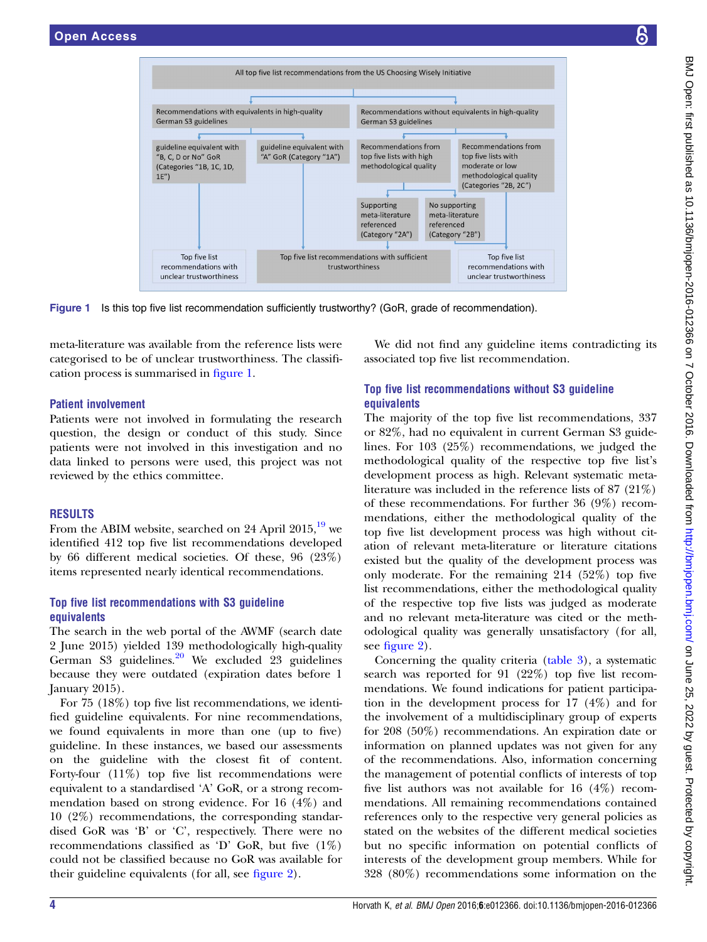<span id="page-3-0"></span>

Figure 1 Is this top five list recommendation sufficiently trustworthy? (GoR, grade of recommendation).

meta-literature was available from the reference lists were categorised to be of unclear trustworthiness. The classification process is summarised in figure 1.

## Patient involvement

Patients were not involved in formulating the research question, the design or conduct of this study. Since patients were not involved in this investigation and no data linked to persons were used, this project was not reviewed by the ethics committee.

# RESULTS

From the ABIM website, searched on 24 April 2015,<sup>[19](#page-6-0)</sup> we identified 412 top five list recommendations developed by 66 different medical societies. Of these, 96 (23%) items represented nearly identical recommendations.

## Top five list recommendations with S3 guideline equivalents

The search in the web portal of the AWMF (search date 2 June 2015) yielded 139 methodologically high-quality German S3 guidelines. $20$  We excluded 23 guidelines because they were outdated (expiration dates before 1 January 2015).

For 75 (18%) top five list recommendations, we identified guideline equivalents. For nine recommendations, we found equivalents in more than one (up to five) guideline. In these instances, we based our assessments on the guideline with the closest fit of content. Forty-four (11%) top five list recommendations were equivalent to a standardised 'A' GoR, or a strong recommendation based on strong evidence. For 16 (4%) and 10 (2%) recommendations, the corresponding standardised GoR was 'B' or 'C', respectively. There were no recommendations classified as 'D' GoR, but five  $(1\%)$ could not be classified because no GoR was available for their guideline equivalents (for all, see fi[gure 2\)](#page-4-0).

We did not find any guideline items contradicting its associated top five list recommendation.

# Top five list recommendations without S3 guideline **equivalents**

The majority of the top five list recommendations, 337 or 82%, had no equivalent in current German S3 guidelines. For 103 (25%) recommendations, we judged the methodological quality of the respective top five list's development process as high. Relevant systematic metaliterature was included in the reference lists of 87 (21%) of these recommendations. For further 36 (9%) recommendations, either the methodological quality of the top five list development process was high without citation of relevant meta-literature or literature citations existed but the quality of the development process was only moderate. For the remaining 214 (52%) top five list recommendations, either the methodological quality of the respective top five lists was judged as moderate and no relevant meta-literature was cited or the methodological quality was generally unsatisfactory (for all, see fi[gure 2](#page-4-0)).

Concerning the quality criteria [\(table 3](#page-4-0)), a systematic search was reported for 91 (22%) top five list recommendations. We found indications for patient participation in the development process for 17 (4%) and for the involvement of a multidisciplinary group of experts for 208 (50%) recommendations. An expiration date or information on planned updates was not given for any of the recommendations. Also, information concerning the management of potential conflicts of interests of top five list authors was not available for 16 (4%) recommendations. All remaining recommendations contained references only to the respective very general policies as stated on the websites of the different medical societies but no specific information on potential conflicts of interests of the development group members. While for 328 (80%) recommendations some information on the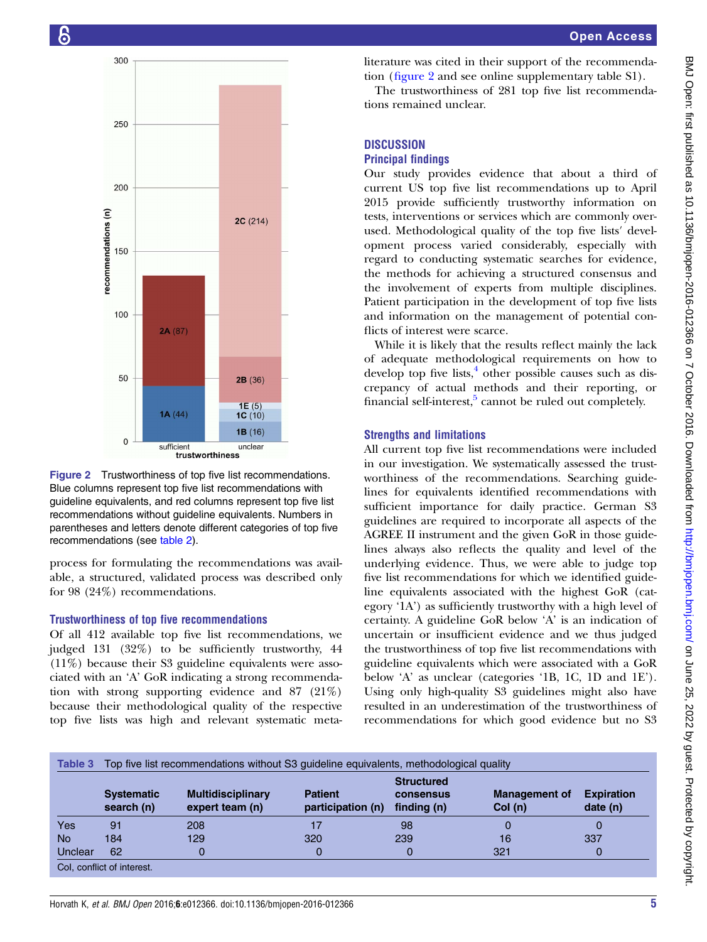<span id="page-4-0"></span>



process for formulating the recommendations was available, a structured, validated process was described only for 98 (24%) recommendations.

### Trustworthiness of top five recommendations

Of all 412 available top five list recommendations, we judged 131 (32%) to be sufficiently trustworthy, 44 (11%) because their S3 guideline equivalents were associated with an 'A' GoR indicating a strong recommendation with strong supporting evidence and 87 (21%) because their methodological quality of the respective top five lists was high and relevant systematic metaliterature was cited in their support of the recommendation (figure 2 and see online [supplementary table S1](http://dx.doi.org/10.1136/bmjopen-2016-012366)).

The trustworthiness of 281 top five list recommendations remained unclear.

# **DISCUSSION** Principal findings

Our study provides evidence that about a third of current US top five list recommendations up to April 2015 provide sufficiently trustworthy information on tests, interventions or services which are commonly overused. Methodological quality of the top five lists′ development process varied considerably, especially with regard to conducting systematic searches for evidence, the methods for achieving a structured consensus and the involvement of experts from multiple disciplines. Patient participation in the development of top five lists and information on the management of potential conflicts of interest were scarce.

While it is likely that the results reflect mainly the lack of adequate methodological requirements on how to develop top five lists, $4$  other possible causes such as discrepancy of actual methods and their reporting, or financial self-interest, $5$  cannot be ruled out completely.

## Strengths and limitations

All current top five list recommendations were included in our investigation. We systematically assessed the trustworthiness of the recommendations. Searching guidelines for equivalents identified recommendations with sufficient importance for daily practice. German S3 guidelines are required to incorporate all aspects of the AGREE II instrument and the given GoR in those guidelines always also reflects the quality and level of the underlying evidence. Thus, we were able to judge top five list recommendations for which we identified guideline equivalents associated with the highest GoR (category '1A') as sufficiently trustworthy with a high level of certainty. A guideline GoR below 'A' is an indication of uncertain or insufficient evidence and we thus judged the trustworthiness of top five list recommendations with guideline equivalents which were associated with a GoR below 'A' as unclear (categories '1B, 1C, 1D and 1E'). Using only high-quality S3 guidelines might also have resulted in an underestimation of the trustworthiness of recommendations for which good evidence but no S3

| Table 3                    |                                 | Top five list recommendations without S3 guideline equivalents, methodological quality |                                     |                                               |                                |                               |  |  |
|----------------------------|---------------------------------|----------------------------------------------------------------------------------------|-------------------------------------|-----------------------------------------------|--------------------------------|-------------------------------|--|--|
|                            | <b>Systematic</b><br>search (n) | <b>Multidisciplinary</b><br>expert team (n)                                            | <b>Patient</b><br>participation (n) | <b>Structured</b><br>consensus<br>finding (n) | <b>Management of</b><br>Col(n) | <b>Expiration</b><br>date (n) |  |  |
| Yes                        | 91                              | 208                                                                                    |                                     | 98                                            |                                | 0                             |  |  |
| <b>No</b>                  | 184                             | 129                                                                                    | 320                                 | 239                                           | 16                             | 337                           |  |  |
| Unclear                    | 62                              | 0                                                                                      |                                     | 0                                             | 321                            | 0                             |  |  |
| Col, conflict of interest. |                                 |                                                                                        |                                     |                                               |                                |                               |  |  |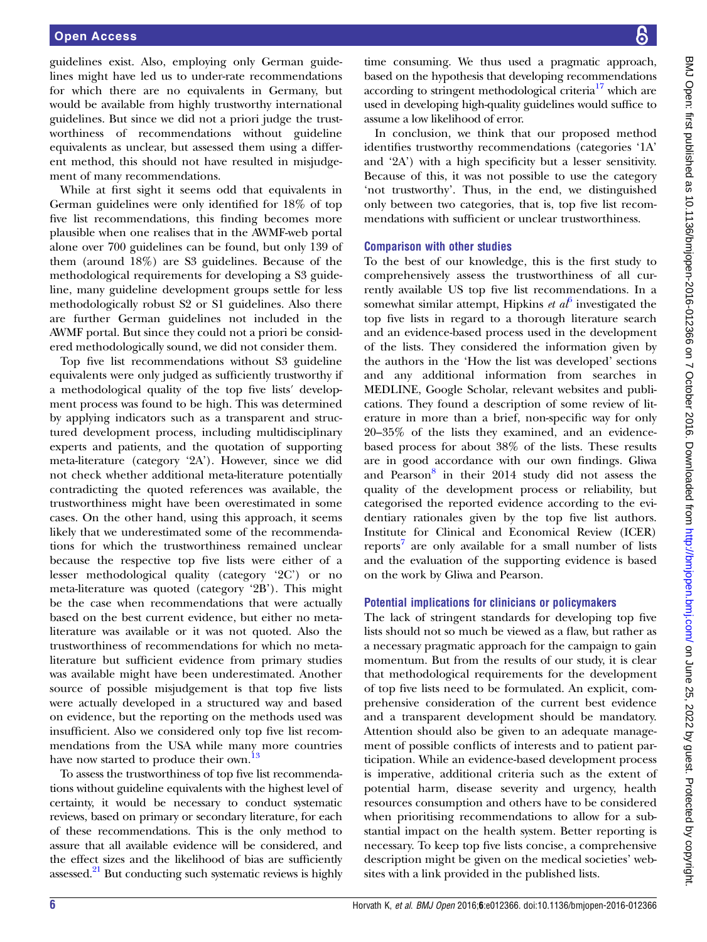guidelines exist. Also, employing only German guidelines might have led us to under-rate recommendations for which there are no equivalents in Germany, but would be available from highly trustworthy international guidelines. But since we did not a priori judge the trustworthiness of recommendations without guideline equivalents as unclear, but assessed them using a different method, this should not have resulted in misjudgement of many recommendations.

While at first sight it seems odd that equivalents in German guidelines were only identified for 18% of top five list recommendations, this finding becomes more plausible when one realises that in the AWMF-web portal alone over 700 guidelines can be found, but only 139 of them (around 18%) are S3 guidelines. Because of the methodological requirements for developing a S3 guideline, many guideline development groups settle for less methodologically robust S2 or S1 guidelines. Also there are further German guidelines not included in the AWMF portal. But since they could not a priori be considered methodologically sound, we did not consider them.

Top five list recommendations without S3 guideline equivalents were only judged as sufficiently trustworthy if a methodological quality of the top five lists′ development process was found to be high. This was determined by applying indicators such as a transparent and structured development process, including multidisciplinary experts and patients, and the quotation of supporting meta-literature (category '2A'). However, since we did not check whether additional meta-literature potentially contradicting the quoted references was available, the trustworthiness might have been overestimated in some cases. On the other hand, using this approach, it seems likely that we underestimated some of the recommendations for which the trustworthiness remained unclear because the respective top five lists were either of a lesser methodological quality (category '2C') or no meta-literature was quoted (category '2B'). This might be the case when recommendations that were actually based on the best current evidence, but either no metaliterature was available or it was not quoted. Also the trustworthiness of recommendations for which no metaliterature but sufficient evidence from primary studies was available might have been underestimated. Another source of possible misjudgement is that top five lists were actually developed in a structured way and based on evidence, but the reporting on the methods used was insufficient. Also we considered only top five list recommendations from the USA while many more countries have now started to produce their own.<sup>[13](#page-6-0)</sup>

To assess the trustworthiness of top five list recommendations without guideline equivalents with the highest level of certainty, it would be necessary to conduct systematic reviews, based on primary or secondary literature, for each of these recommendations. This is the only method to assure that all available evidence will be considered, and the effect sizes and the likelihood of bias are sufficiently assessed.<sup>[21](#page-6-0)</sup> But conducting such systematic reviews is highly

time consuming. We thus used a pragmatic approach, based on the hypothesis that developing recommendations according to stringent methodological criteria $17$  which are used in developing high-quality guidelines would suffice to assume a low likelihood of error.

In conclusion, we think that our proposed method identifies trustworthy recommendations (categories '1A' and '2A') with a high specificity but a lesser sensitivity. Because of this, it was not possible to use the category 'not trustworthy'. Thus, in the end, we distinguished only between two categories, that is, top five list recommendations with sufficient or unclear trustworthiness.

## Comparison with other studies

To the best of our knowledge, this is the first study to comprehensively assess the trustworthiness of all currently available US top five list recommendations. In a somewhat similar attempt, Hipkins *et al*<sup>[6](#page-6-0)</sup> investigated the top five lists in regard to a thorough literature search and an evidence-based process used in the development of the lists. They considered the information given by the authors in the 'How the list was developed' sections and any additional information from searches in MEDLINE, Google Scholar, relevant websites and publications. They found a description of some review of literature in more than a brief, non-specific way for only 20–35% of the lists they examined, and an evidencebased process for about 38% of the lists. These results are in good accordance with our own findings. Gliwa and Pearson $8$  in their 2014 study did not assess the quality of the development process or reliability, but categorised the reported evidence according to the evidentiary rationales given by the top five list authors. Institute for Clinical and Economical Review (ICER) reports<sup>[7](#page-6-0)</sup> are only available for a small number of lists and the evaluation of the supporting evidence is based on the work by Gliwa and Pearson.

## Potential implications for clinicians or policymakers

The lack of stringent standards for developing top five lists should not so much be viewed as a flaw, but rather as a necessary pragmatic approach for the campaign to gain momentum. But from the results of our study, it is clear that methodological requirements for the development of top five lists need to be formulated. An explicit, comprehensive consideration of the current best evidence and a transparent development should be mandatory. Attention should also be given to an adequate management of possible conflicts of interests and to patient participation. While an evidence-based development process is imperative, additional criteria such as the extent of potential harm, disease severity and urgency, health resources consumption and others have to be considered when prioritising recommendations to allow for a substantial impact on the health system. Better reporting is necessary. To keep top five lists concise, a comprehensive description might be given on the medical societies' websites with a link provided in the published lists.